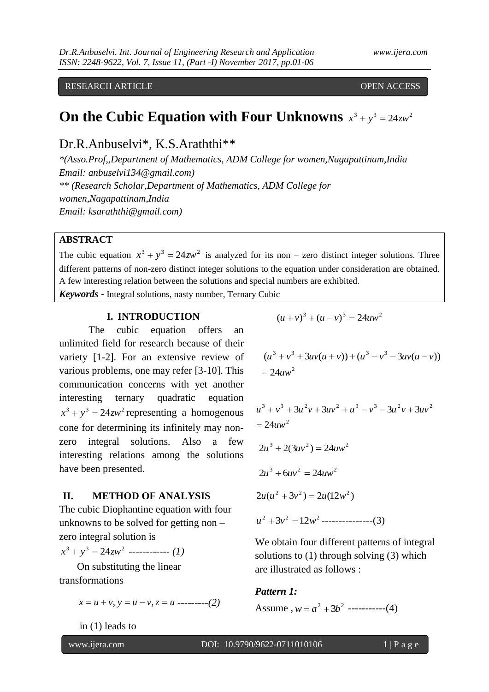RESEARCH ARTICLE **CONSERVERS** OPEN ACCESS

# **On the Cubic Equation with Four Unknowns**  $x^3 + y^3 = 24zw^2$

Dr.R.Anbuselvi\*, K.S.Araththi\*\*

*\*(Asso.Prof,,Department of Mathematics, ADM College for women,Nagapattinam,India Email: anbuselvi134@gmail.com) \*\* (Research Scholar,Department of Mathematics, ADM College for women,Nagapattinam,India Email: ksaraththi@gmail.com)*

## **ABSTRACT**

The cubic equation  $x^3 + y^3 = 24zw^2$  is analyzed for its non – zero distinct integer solutions. Three different patterns of non-zero distinct integer solutions to the equation under consideration are obtained. A few interesting relation between the solutions and special numbers are exhibited.

*Keywords* **-** Integral solutions, nasty number, Ternary Cubic

#### **I. INTRODUCTION**

The cubic equation offers an unlimited field for research because of their variety [1-2]. For an extensive review of various problems, one may refer [3-10]. This communication concerns with yet another interesting ternary quadratic equation  $x^3 + y^3 = 24zw^2$  representing a homogenous cone for determining its infinitely may nonzero integral solutions. Also a few interesting relations among the solutions have been presented.

#### **II. METHOD OF ANALYSIS**

The cubic Diophantine equation with four unknowns to be solved for getting non – zero integral solution is

 $x^3 + y^3 = 24zw^2$  ------------ *(1)* 

 On substituting the linear transformations

 $x = u + v$ ,  $y = u - v$ ,  $z = u$  ---------(2)

in (1) leads to

 $(u + v)^3 + (u - v)^3 = 24uw^2$ 

$$
(u3 + v3 + 3uv(u + v)) + (u3 - v3 - 3uv(u - v))
$$
  
= 24uw<sup>2</sup>

$$
u3 + v3 + 3u2v + 3uv2 + u3 - v3 - 3u2v + 3uv2
$$
  
= 24uw<sup>2</sup>  

$$
2u3 + 2(3uv2) = 24uw2
$$
  

$$
2u3 + 6uv2 = 24uw2
$$
  

$$
2u(u2 + 3v2) = 2u(12w2)
$$
  

$$
u2 + 3v2 = 12w2 \dots
$$
...(3)

We obtain four different patterns of integral solutions to  $(1)$  through solving  $(3)$  which are illustrated as follows :

#### *Pattern 1:*

Assume ,  $w = a^2 + 3b^2$  -----------(4)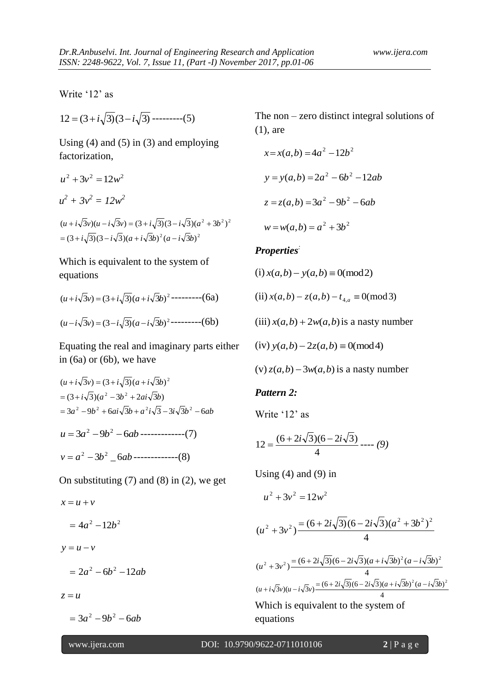Write '12' as

$$
12 = (3 + i\sqrt{3})(3 - i\sqrt{3}) \cdots (5)
$$

Using  $(4)$  and  $(5)$  in  $(3)$  and employing factorization,

$$
u^{2} + 3v^{2} = 12w^{2}
$$
  
\n
$$
u^{2} + 3v^{2} = 12w^{2}
$$
  
\n
$$
(u + i\sqrt{3}v)(u - i\sqrt{3}v) = (3 + i\sqrt{3})(3 - i\sqrt{3})(a^{2} + 3b^{2})^{2}
$$

 $= (3 + i\sqrt{3})(3 - i\sqrt{3})(a + i\sqrt{3}b)^{2}(a - i\sqrt{3}b)^{2}$ 

Which is equivalent to the system of equations

$$
(u+i\sqrt{3}v) = (3+i\sqrt{3})(a+i\sqrt{3}b)^2
$$
-----(6a)  

$$
(u-i\sqrt{3}v) = (3-i\sqrt{3})(a-i\sqrt{3}b)^2
$$
-----(6b)

Equating the real and imaginary parts either in (6a) or (6b), we have

$$
(u + i\sqrt{3}v) = (3 + i\sqrt{3})(a + i\sqrt{3}b)^{2}
$$
  
= (3 + i $\sqrt{3}$ )(a<sup>2</sup> - 3b<sup>2</sup> + 2ai $\sqrt{3}b$ )  
= 3a<sup>2</sup> - 9b<sup>2</sup> + 6ai $\sqrt{3}b$  + a<sup>2</sup>i $\sqrt{3}$  - 3i $\sqrt{3}b$ <sup>2</sup> - 6ab  

$$
u = 3a^{2} - 9b^{2} - 6ab
$$
-----(7)  

$$
v = a^{2} - 3b^{2} - 6ab
$$
-----(8)

On substituting  $(7)$  and  $(8)$  in  $(2)$ , we get

 $x = u + v$  $= 4a^2 - 12b^2$  $y = u - v$  $= 2a^2 - 6b^2 - 12ab$  $z = u$ 

 $= 3a^2 - 9b^2 - 6ab$ 

The non – zero distinct integral solutions of (1), are

$$
x=x(a,b) = 4a^{2} - 12b^{2}
$$
  

$$
y = y(a,b) = 2a^{2} - 6b^{2} - 12ab
$$
  

$$
z = z(a,b) = 3a^{2} - 9b^{2} - 6ab
$$
  

$$
w = w(a,b) = a^{2} + 3b^{2}
$$

#### *Properties:*

 $(i) x(a,b) - y(a,b) \equiv 0 \pmod{2}$ 

 $(i)$   $x(a,b) - z(a,b) - t_{4,a} \equiv 0 \pmod{3}$ 

 $(iii)$   $x(a,b) + 2w(a,b)$  is a nasty number

 $(iv) y(a,b) - 2z(a,b) \equiv 0 \pmod{4}$ 

 $(v)$   $z(a,b)$  – 3 $w(a,b)$  is a nasty number

## *Pattern 2:*

Write '12' as

$$
12 = \frac{(6+2i\sqrt{3})(6-2i\sqrt{3})}{4} \cdots (9)
$$

Using  $(4)$  and  $(9)$  in

$$
u^2 + 3v^2 = 12w^2
$$

$$
(u2 + 3v2) \frac{=(6 + 2i\sqrt{3})(6 - 2i\sqrt{3})(a2 + 3b2)2}{4}
$$

$$
(u2 + 3v2) = \frac{(6 + 2i\sqrt{3})(6 - 2i\sqrt{3})(a + i\sqrt{3}b)2 (a - i\sqrt{3}b)2}{4}
$$
  
(u + i $\sqrt{3}v$ )(u - i $\sqrt{3}v$ ) =  $\frac{(6 + 2i\sqrt{3})(6 - 2i\sqrt{3})(a + i\sqrt{3}b)2 (a - i\sqrt{3}b)2}{4}$   
Which is equivalent to the system of equations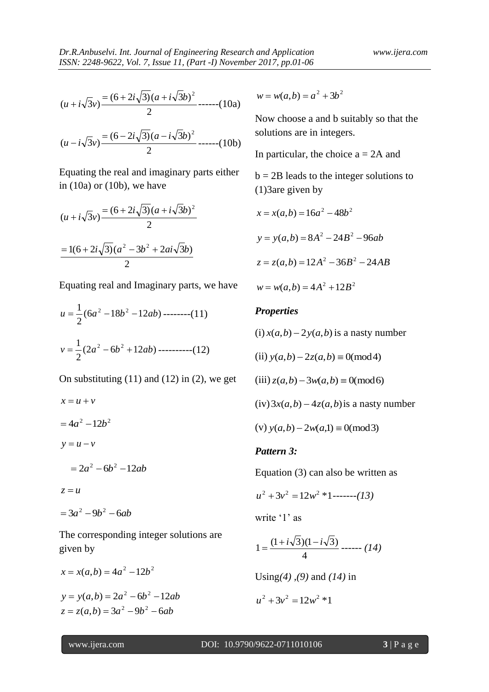$$
(u+i\sqrt{3}v)\frac{=(6+2i\sqrt{3})(a+i\sqrt{3}b)^2}{2}
$$
-----(10a)

$$
(u - i\sqrt{3}v) \frac{=(6 - 2i\sqrt{3})(a - i\sqrt{3}b)^2}{2} \dots (10b)
$$

Equating the real and imaginary parts either in  $(10a)$  or  $(10b)$ , we have

$$
(u + i\sqrt{3}v) \frac{=(6 + 2i\sqrt{3})(a + i\sqrt{3}b)^2}{2}
$$

$$
\frac{=(6 + 2i\sqrt{3})(a^2 - 3b^2 + 2ai\sqrt{3}b)}{2}
$$

Equating real and Imaginary parts, we have

$$
u = \frac{1}{2}(6a^2 - 18b^2 - 12ab) \dots (11)
$$
  

$$
v = \frac{1}{2}(2a^2 - 6b^2 + 12ab) \dots (12)
$$

On substituting  $(11)$  and  $(12)$  in  $(2)$ , we get

$$
x = u + v
$$
  
=  $4a^2 - 12b^2$   

$$
y = u - v
$$
  
=  $2a^2 - 6b^2 - 12ab$   

$$
z = u
$$
  
=  $3a^2 - 9b^2 - 6ab$ 

The corresponding integer solutions are given by

$$
x = x(a,b) = 4a^{2} - 12b^{2}
$$
  

$$
y = y(a,b) = 2a^{2} - 6b^{2} - 12ab
$$
  

$$
z = z(a,b) = 3a^{2} - 9b^{2} - 6ab
$$

 $w = w(a,b) = a^2 + 3b^2$ 

Now choose a and b suitably so that the solutions are in integers.

In particular, the choice  $a = 2A$  and

 $b = 2B$  leads to the integer solutions to (1)3are given by

$$
x = x(a,b) = 16a2 - 48b2
$$
  

$$
y = y(a,b) = 8A2 - 24B2 - 96ab
$$
  

$$
z = z(a,b) = 12A2 - 36B2 - 24AB
$$
  

$$
w = w(a,b) = 4A2 + 12B2
$$

## *Properties*

 $(i)$ *x*(*a*,*b*) – 2*y*(*a*,*b*) is a nasty number

 $(i)$   $y(a,b) - 2z(a,b) \equiv 0 \pmod{4}$ 

$$
(iii) z(a,b) - 3w(a,b) \equiv 0 \pmod{6}
$$

 $(iv)$  3 $x(a,b)$  – 4 $z(a,b)$  is a nasty number

(v) 
$$
y(a,b) - 2w(a,1) \equiv 0 \pmod{3}
$$

## *Pattern 3:*

Equation (3) can also be written as

$$
u^2 + 3v^2 = 12w^2 * 1 \cdots (13)
$$

write '1' as

$$
1 = \frac{(1 + i\sqrt{3})(1 - i\sqrt{3})}{4} \dots (14)
$$

Using*(4) ,(9)* and *(14)* in

$$
u^2 + 3v^2 = 12w^2 * 1
$$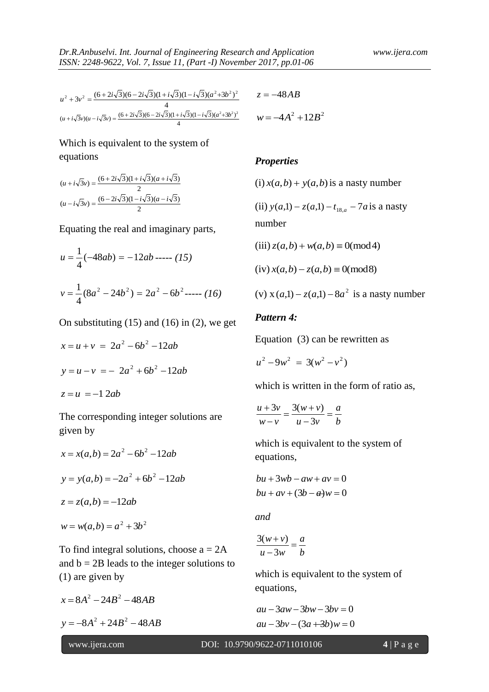$$
u^{2} + 3v^{2} = \frac{(6+2i\sqrt{3})(6-2i\sqrt{3})(1+i\sqrt{3})(1-i\sqrt{3})(a^{2}+3b^{2})^{2}}{4}
$$
  

$$
(u+i\sqrt{3}v)(u-i\sqrt{3}v) = \frac{(6+2i\sqrt{3})(6-2i\sqrt{3})(1+i\sqrt{3})(1-i\sqrt{3})(a^{2}+3b^{2})^{2}}{4}
$$
  

$$
w = -4A^{2} - 4A^{2}
$$

# Which is equivalent to the system of equations

$$
(u + i\sqrt{3}v) = \frac{(6 + 2i\sqrt{3})(1 + i\sqrt{3})(a + i\sqrt{3})}{2}
$$

$$
(u - i\sqrt{3}v) = \frac{(6 - 2i\sqrt{3})(1 - i\sqrt{3})(a - i\sqrt{3})}{2}
$$

Equating the real and imaginary parts,

$$
u = \frac{1}{4}(-48ab) = -12ab
$$
 ----(15)  

$$
v = \frac{1}{4}(8a^2 - 24b^2) = 2a^2 - 6b^2
$$
 ----(16)

On substituting  $(15)$  and  $(16)$  in  $(2)$ , we get

$$
x = u + v = 2a^{2} - 6b^{2} - 12ab
$$
  

$$
y = u - v = -2a^{2} + 6b^{2} - 12ab
$$
  

$$
z = u = -12ab
$$

The corresponding integer solutions are given by

$$
x = x(a,b) = 2a^{2} - 6b^{2} - 12ab
$$
  

$$
y = y(a,b) = -2a^{2} + 6b^{2} - 12ab
$$
  

$$
z = z(a,b) = -12ab
$$
  

$$
w = w(a,b) = a^{2} + 3b^{2}
$$

To find integral solutions, choose  $a = 2A$ and  $b = 2B$  leads to the integer solutions to (1) are given by

 $x = 8A^2 - 24B^2 - 48AB$  $y = -8A^2 + 24B^2 - 48AB$ 

$$
z = -48AB
$$

$$
w = -4A^2 + 12B^2
$$

#### *Properties*

 $(i)$ *x*(*a*,*b*) + *y*(*a*,*b*) is a nasty number

(ii)  $y(a,1) - z(a,1) - t_{18,a} - 7a$  is a nasty number

$$
(iii) z(a,b) + w(a,b) \equiv 0 \pmod{4}
$$

$$
(iv) x(a,b) - z(a,b) \equiv 0 \pmod{8}
$$

(v) 
$$
x(a,1) - z(a,1) - 8a^2
$$
 is a nasty number

## *Pattern 4:*

Equation (3) can be rewritten as

$$
u^2 - 9w^2 = 3(w^2 - v^2)
$$

which is written in the form of ratio as,

$$
\frac{u+3v}{w-v} = \frac{3(w+v)}{u-3v} = \frac{a}{b}
$$

*w*hich is equivalent to the system of equations,

$$
bu + 3wb - aw + av = 0
$$

$$
bu + av + (3b - a)w = 0
$$

*and*

$$
\frac{3(w+v)}{u-3w} = \frac{a}{b}
$$

*w*hich is equivalent to the system of equations,

$$
au - 3aw - 3bw - 3bv = 0
$$
  

$$
au - 3bv - (3a + 3b)w = 0
$$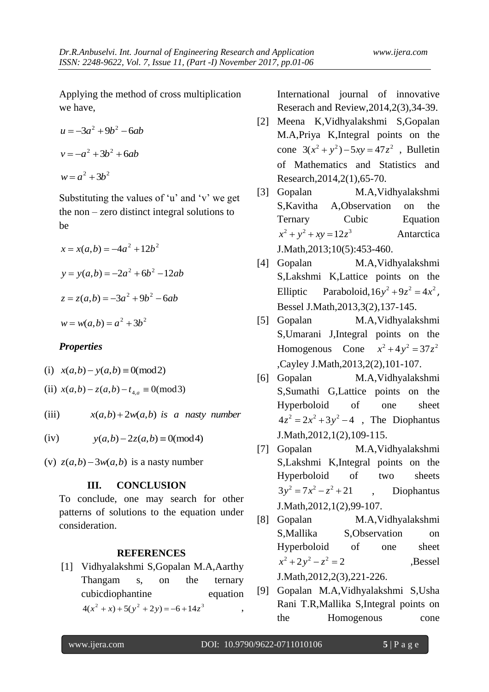Applying the method of cross multiplication we have,

$$
u = -3a2 + 9b2 - 6ab
$$

$$
v = -a2 + 3b2 + 6ab
$$

$$
w = a2 + 3b2
$$

Substituting the values of 'u' and 'v' we get the non – zero distinct integral solutions to be

$$
x = x(a,b) = -4a^{2} + 12b^{2}
$$
  
\n
$$
y = y(a,b) = -2a^{2} + 6b^{2} - 12ab
$$
  
\n
$$
z = z(a,b) = -3a^{2} + 9b^{2} - 6ab
$$
  
\n
$$
w = w(a,b) = a^{2} + 3b^{2}
$$

## *Properties*

- (i)  $x(a,b) y(a,b) \equiv 0 \pmod{2}$
- $(i)$   $x(a,b) z(a,b) t_{4,a} \equiv 0 \pmod{3}$

(iii)  $x(a,b) + 2w(a,b)$  *is a nasty number* 

 $(iv)$  $y(a,b) - 2z(a,b) \equiv 0 \pmod{4}$ 

(v)  $z(a,b) - 3w(a,b)$  is a nasty number

#### **III. CONCLUSION**

To conclude, one may search for other patterns of solutions to the equation under consideration.

#### **REFERENCES**

[1] Vidhyalakshmi S,Gopalan M.A,Aarthy Thangam s, on the ternary cubicdiophantine equation  $4(x^{2} + x) + 5(y^{2} + 2y) = -6 + 14z^{3}$ , International journal of innovative Reserach and Review,2014,2(3),34-39.

- [2] Meena K,Vidhyalakshmi S,Gopalan M.A,Priya K,Integral points on the cone  $3(x^2 + y^2) - 5xy = 47z^2$ , Bulletin of Mathematics and Statistics and Research,2014,2(1),65-70.
- [3] Gopalan M.A,Vidhyalakshmi S,Kavitha A,Observation on the Ternary Cubic Equation  $x^2 + y^2 + xy = 12z^3$ Antarctica J.Math,2013;10(5):453-460.
- [4] Gopalan M.A,Vidhyalakshmi S,Lakshmi K,Lattice points on the Elliptic Paraboloid,  $16y^2 + 9z^2 = 4x^2$ , Bessel J.Math,2013,3(2),137-145.
- [5] Gopalan M.A,Vidhyalakshmi S,Umarani J,Integral points on the Homogenous Cone  $x^2 + 4y^2 = 37z^2$ ,Cayley J.Math,2013,2(2),101-107.
- [6] Gopalan M.A,Vidhyalakshmi S,Sumathi G,Lattice points on the Hyperboloid of one sheet  $4z^{2} = 2x^{2} + 3y^{2} - 4$ , The Diophantus J.Math,2012,1(2),109-115.
- [7] Gopalan M.A,Vidhyalakshmi S,Lakshmi K,Integral points on the Hyperboloid of two sheets  $3y^2 = 7x^2 - z^2 + 21$ , Diophantus J.Math,2012,1(2),99-107.
- [8] Gopalan M.A,Vidhyalakshmi S,Mallika S,Observation on Hyperboloid of one sheet  $x^2 + 2y^2 - z^2 = 2$  , Bessel J.Math,2012,2(3),221-226.
- [9] Gopalan M.A,Vidhyalakshmi S,Usha Rani T.R,Mallika S,Integral points on the Homogenous cone